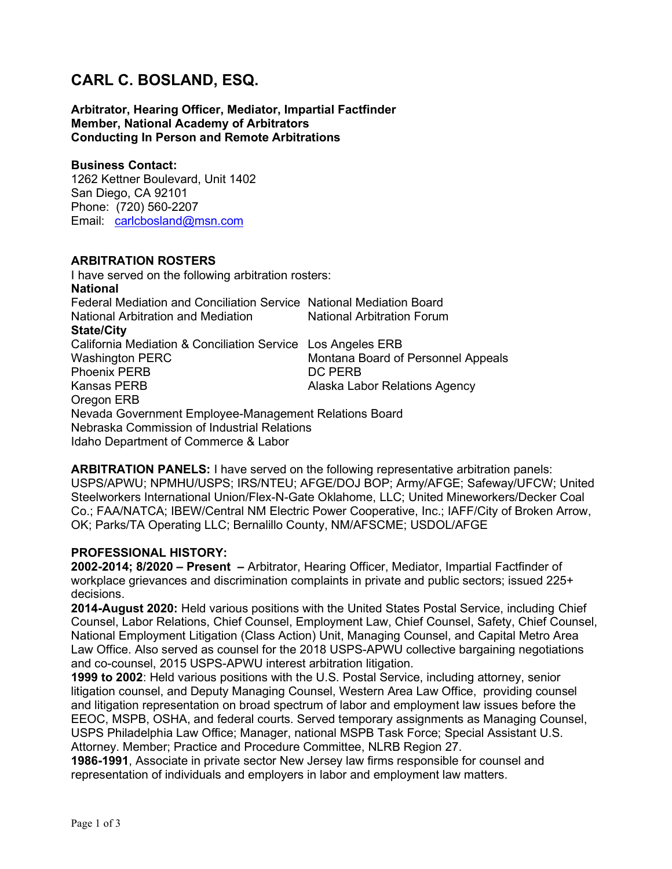# CARL C. BOSLAND, ESQ.

Arbitrator, Hearing Officer, Mediator, Impartial Factfinder Member, National Academy of Arbitrators Conducting In Person and Remote Arbitrations

#### Business Contact:

1262 Kettner Boulevard, Unit 1402 San Diego, CA 92101 Phone: (720) 560-2207 Email: carlcbosland@msn.com

#### ARBITRATION ROSTERS

I have served on the following arbitration rosters: National Federal Mediation and Conciliation Service National Mediation Board National Arbitration and Mediation **National Arbitration Forum** State/City California Mediation & Conciliation Service Los Angeles ERB Washington PERC Montana Board of Personnel Appeals Phoenix PERB DC PERB Kansas PERB **Alaska Labor Relations Agency** Oregon ERB Nevada Government Employee-Management Relations Board Nebraska Commission of Industrial Relations Idaho Department of Commerce & Labor

ARBITRATION PANELS: I have served on the following representative arbitration panels: USPS/APWU; NPMHU/USPS; IRS/NTEU; AFGE/DOJ BOP; Army/AFGE; Safeway/UFCW; United Steelworkers International Union/Flex-N-Gate Oklahome, LLC; United Mineworkers/Decker Coal Co.; FAA/NATCA; IBEW/Central NM Electric Power Cooperative, Inc.; IAFF/City of Broken Arrow, OK; Parks/TA Operating LLC; Bernalillo County, NM/AFSCME; USDOL/AFGE

## PROFESSIONAL HISTORY:

2002-2014; 8/2020 – Present – Arbitrator, Hearing Officer, Mediator, Impartial Factfinder of workplace grievances and discrimination complaints in private and public sectors; issued 225+ decisions.

2014-August 2020: Held various positions with the United States Postal Service, including Chief Counsel, Labor Relations, Chief Counsel, Employment Law, Chief Counsel, Safety, Chief Counsel, National Employment Litigation (Class Action) Unit, Managing Counsel, and Capital Metro Area Law Office. Also served as counsel for the 2018 USPS-APWU collective bargaining negotiations and co-counsel, 2015 USPS-APWU interest arbitration litigation.

1999 to 2002: Held various positions with the U.S. Postal Service, including attorney, senior litigation counsel, and Deputy Managing Counsel, Western Area Law Office, providing counsel and litigation representation on broad spectrum of labor and employment law issues before the EEOC, MSPB, OSHA, and federal courts. Served temporary assignments as Managing Counsel, USPS Philadelphia Law Office; Manager, national MSPB Task Force; Special Assistant U.S. Attorney. Member; Practice and Procedure Committee, NLRB Region 27.

1986-1991, Associate in private sector New Jersey law firms responsible for counsel and representation of individuals and employers in labor and employment law matters.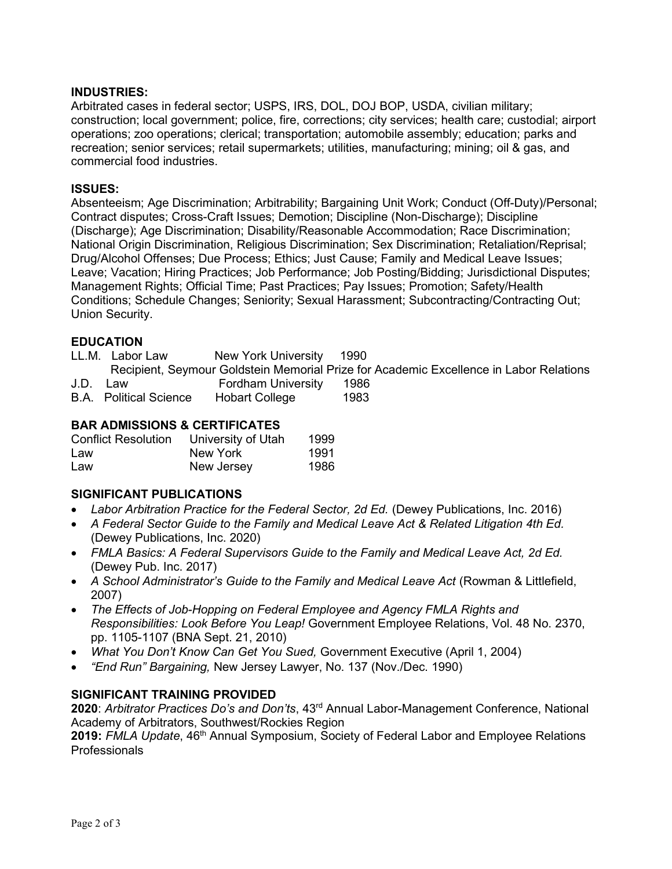#### INDUSTRIES:

Arbitrated cases in federal sector; USPS, IRS, DOL, DOJ BOP, USDA, civilian military; construction; local government; police, fire, corrections; city services; health care; custodial; airport operations; zoo operations; clerical; transportation; automobile assembly; education; parks and recreation; senior services; retail supermarkets; utilities, manufacturing; mining; oil & gas, and commercial food industries.

#### ISSUES:

Absenteeism; Age Discrimination; Arbitrability; Bargaining Unit Work; Conduct (Off-Duty)/Personal; Contract disputes; Cross-Craft Issues; Demotion; Discipline (Non-Discharge); Discipline (Discharge); Age Discrimination; Disability/Reasonable Accommodation; Race Discrimination; National Origin Discrimination, Religious Discrimination; Sex Discrimination; Retaliation/Reprisal; Drug/Alcohol Offenses; Due Process; Ethics; Just Cause; Family and Medical Leave Issues; Leave; Vacation; Hiring Practices; Job Performance; Job Posting/Bidding; Jurisdictional Disputes; Management Rights; Official Time; Past Practices; Pay Issues; Promotion; Safety/Health Conditions; Schedule Changes; Seniority; Sexual Harassment; Subcontracting/Contracting Out; Union Security.

## **EDUCATION**

|      | LL.M. Labor Law               | New York University 1990  |                                                                                        |  |
|------|-------------------------------|---------------------------|----------------------------------------------------------------------------------------|--|
|      |                               |                           | Recipient, Seymour Goldstein Memorial Prize for Academic Excellence in Labor Relations |  |
| J.D. | Law                           | <b>Fordham University</b> | -1986                                                                                  |  |
|      | <b>B.A.</b> Political Science | <b>Hobart College</b>     | 1983                                                                                   |  |

## BAR ADMISSIONS & CERTIFICATES

| <b>Conflict Resolution</b> | University of Utah | 1999 |
|----------------------------|--------------------|------|
| Law                        | New York           | 1991 |
| Law                        | New Jersey         | 1986 |

## SIGNIFICANT PUBLICATIONS

- Labor Arbitration Practice for the Federal Sector, 2d Ed. (Dewey Publications, Inc. 2016)
- A Federal Sector Guide to the Family and Medical Leave Act & Related Litigation 4th Ed. (Dewey Publications, Inc. 2020)
- FMLA Basics: A Federal Supervisors Guide to the Family and Medical Leave Act, 2d Ed. (Dewey Pub. Inc. 2017)
- A School Administrator's Guide to the Family and Medical Leave Act (Rowman & Littlefield, 2007)
- The Effects of Job-Hopping on Federal Employee and Agency FMLA Rights and Responsibilities: Look Before You Leap! Government Employee Relations, Vol. 48 No. 2370, pp. 1105-1107 (BNA Sept. 21, 2010)
- What You Don't Know Can Get You Sued, Government Executive (April 1, 2004)
- "End Run" Bargaining, New Jersey Lawyer, No. 137 (Nov./Dec. 1990)

## SIGNIFICANT TRAINING PROVIDED

2020: Arbitrator Practices Do's and Don'ts, 43<sup>rd</sup> Annual Labor-Management Conference, National Academy of Arbitrators, Southwest/Rockies Region

2019: FMLA Update, 46<sup>th</sup> Annual Symposium, Society of Federal Labor and Employee Relations **Professionals**